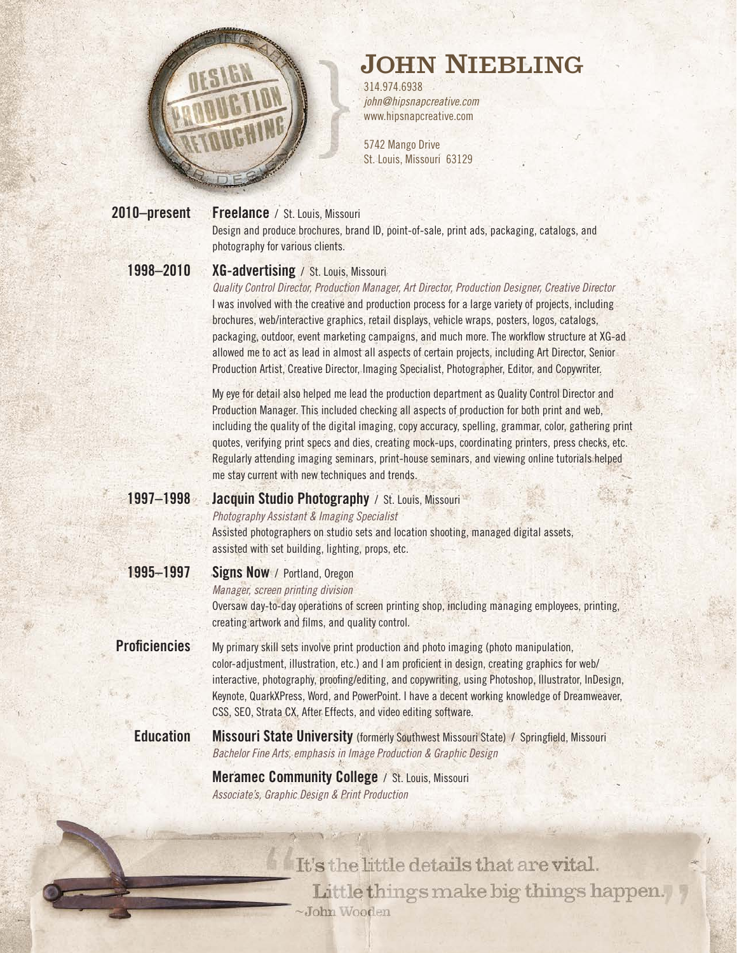

## JOHN NIEBLING

314.974.6938 *[john@hipsnapcreative.com](mailto:john@hipsnapcreative.com)* [www.hipsnapcreative.com](http://www.hipsnapcreative.com)

5742 Mango Drive St. Louis, Missouri 63129

**Freelance** / St. Louis, Missouri **2010–present**

Design and produce brochures, brand ID, point-of-sale, print ads, packaging, catalogs, and photography for various clients.

**1998–2010**

## **XG-advertising** / St. Louis, Missouri

*Quality Control Director, Production Manager, Art Director, Production Designer, Creative Director* I was involved with the creative and production process for a large variety of projects, including brochures, web/interactive graphics, retail displays, vehicle wraps, posters, logos, catalogs, packaging, outdoor, event marketing campaigns, and much more. The workflow structure at XG-ad allowed me to act as lead in almost all aspects of certain projects, including Art Director, Senior Production Artist, Creative Director, Imaging Specialist, Photographer, Editor, and Copywriter.

My eye for detail also helped me lead the production department as Quality Control Director and Production Manager. This included checking all aspects of production for both print and web, including the quality of the digital imaging, copy accuracy, spelling, grammar, color, gathering print quotes, verifying print specs and dies, creating mock-ups, coordinating printers, press checks, etc. Regularly attending imaging seminars, print-house seminars, and viewing online tutorials helped me stay current with new techniques and trends.

**Jacquin Studio Photography** / St. Louis, Missouri **1997–1998**

*Photography Assistant & Imaging Specialist*

Assisted photographers on studio sets and location shooting, managed digital assets, assisted with set building, lighting, props, etc.

## **Signs Now** / Portland, Oregon **1995–1997**

*Manager, screen printing division*

Oversaw day-to-day operations of screen printing shop, including managing employees, printing, creating artwork and films, and quality control.

My primary skill sets involve print production and photo imaging (photo manipulation, color-adjustment, illustration, etc.) and I am proficient in design, creating graphics for web/ interactive, photography, proofing/editing, and copywriting, using Photoshop, Illustrator, InDesign, Keynote, QuarkXPress, Word, and PowerPoint. I have a decent working knowledge of Dreamweaver, CSS, SEO, Strata CX, After Effects, and video editing software. **Proficiencies**

**Missouri State University** (formerly Southwest Missouri State) / Springfield, Missouri *Bachelor Fine Arts, emphasis in Image Production & Graphic Design* **Education**

> **Meramec Community College** / St. Louis, Missouri *Associate's, Graphic Design & Print Production*

> > It's the little details that are vital. Little things make big things happen. -John Wooden